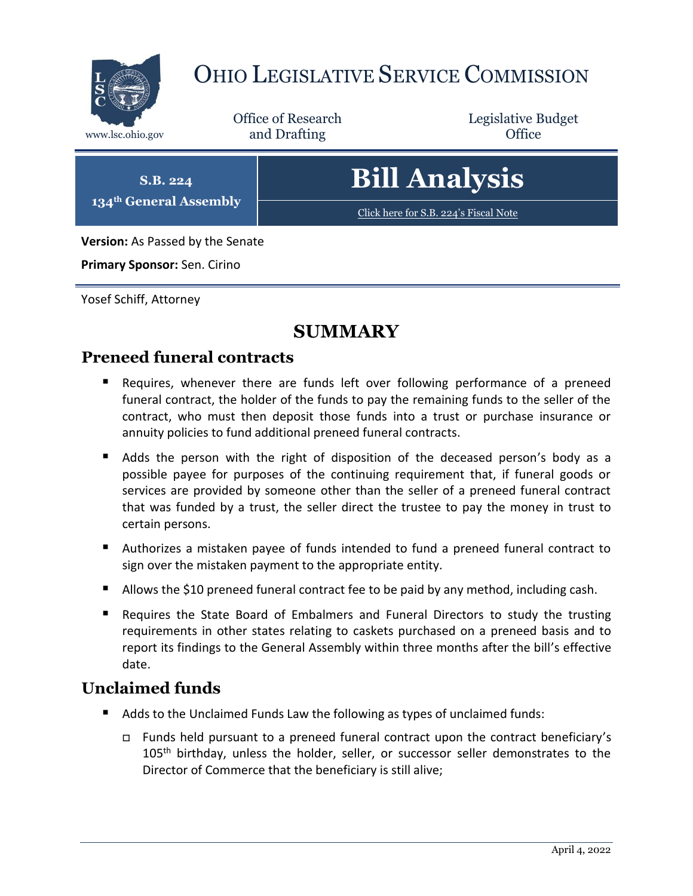

# OHIO LEGISLATIVE SERVICE COMMISSION

Office of Research www.lsc.ohio.gov **and Drafting Office** 

Legislative Budget

**S.B. 224 134th General Assembly**

# **Bill Analysis**

[Click here for S.B. 224](https://www.legislature.ohio.gov/legislation/legislation-documents?id=GA134-SB-224)'s Fiscal Note

**Version:** As Passed by the Senate

**Primary Sponsor:** Sen. Cirino

Yosef Schiff, Attorney

# **SUMMARY**

# **Preneed funeral contracts**

- Requires, whenever there are funds left over following performance of a preneed funeral contract, the holder of the funds to pay the remaining funds to the seller of the contract, who must then deposit those funds into a trust or purchase insurance or annuity policies to fund additional preneed funeral contracts.
- Adds the person with the right of disposition of the deceased person's body as a possible payee for purposes of the continuing requirement that, if funeral goods or services are provided by someone other than the seller of a preneed funeral contract that was funded by a trust, the seller direct the trustee to pay the money in trust to certain persons.
- Authorizes a mistaken payee of funds intended to fund a preneed funeral contract to sign over the mistaken payment to the appropriate entity.
- Allows the \$10 preneed funeral contract fee to be paid by any method, including cash.
- Requires the State Board of Embalmers and Funeral Directors to study the trusting requirements in other states relating to caskets purchased on a preneed basis and to report its findings to the General Assembly within three months after the bill's effective date.

# **Unclaimed funds**

- Adds to the Unclaimed Funds Law the following as types of unclaimed funds:
	- Funds held pursuant to a preneed funeral contract upon the contract beneficiary's  $105<sup>th</sup>$  birthday, unless the holder, seller, or successor seller demonstrates to the Director of Commerce that the beneficiary is still alive;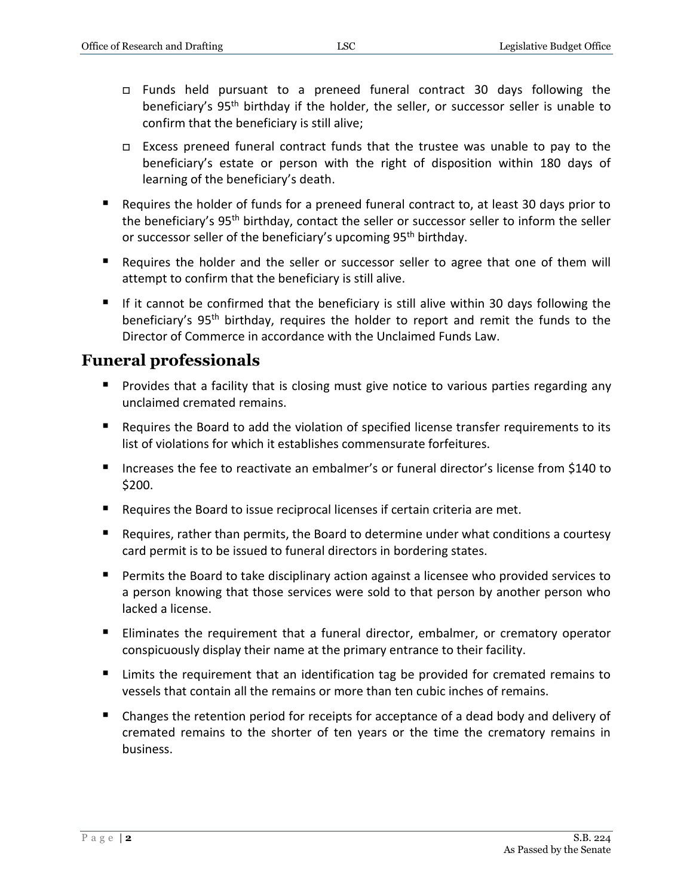- Funds held pursuant to a preneed funeral contract 30 days following the beneficiary's 95<sup>th</sup> birthday if the holder, the seller, or successor seller is unable to confirm that the beneficiary is still alive;
- $\Box$  Excess preneed funeral contract funds that the trustee was unable to pay to the beneficiary's estate or person with the right of disposition within 180 days of learning of the beneficiary's death.
- Requires the holder of funds for a preneed funeral contract to, at least 30 days prior to the beneficiary's 95<sup>th</sup> birthday, contact the seller or successor seller to inform the seller or successor seller of the beneficiary's upcoming 95<sup>th</sup> birthday.
- Requires the holder and the seller or successor seller to agree that one of them will attempt to confirm that the beneficiary is still alive.
- If it cannot be confirmed that the beneficiary is still alive within 30 days following the beneficiary's 95<sup>th</sup> birthday, requires the holder to report and remit the funds to the Director of Commerce in accordance with the Unclaimed Funds Law.

# **Funeral professionals**

- **Provides that a facility that is closing must give notice to various parties regarding any** unclaimed cremated remains.
- Requires the Board to add the violation of specified license transfer requirements to its list of violations for which it establishes commensurate forfeitures.
- Increases the fee to reactivate an embalmer's or funeral director's license from \$140 to \$200.
- Requires the Board to issue reciprocal licenses if certain criteria are met.
- Requires, rather than permits, the Board to determine under what conditions a courtesy card permit is to be issued to funeral directors in bordering states.
- Permits the Board to take disciplinary action against a licensee who provided services to a person knowing that those services were sold to that person by another person who lacked a license.
- **Eliminates the requirement that a funeral director, embalmer, or crematory operator** conspicuously display their name at the primary entrance to their facility.
- Limits the requirement that an identification tag be provided for cremated remains to vessels that contain all the remains or more than ten cubic inches of remains.
- Changes the retention period for receipts for acceptance of a dead body and delivery of cremated remains to the shorter of ten years or the time the crematory remains in business.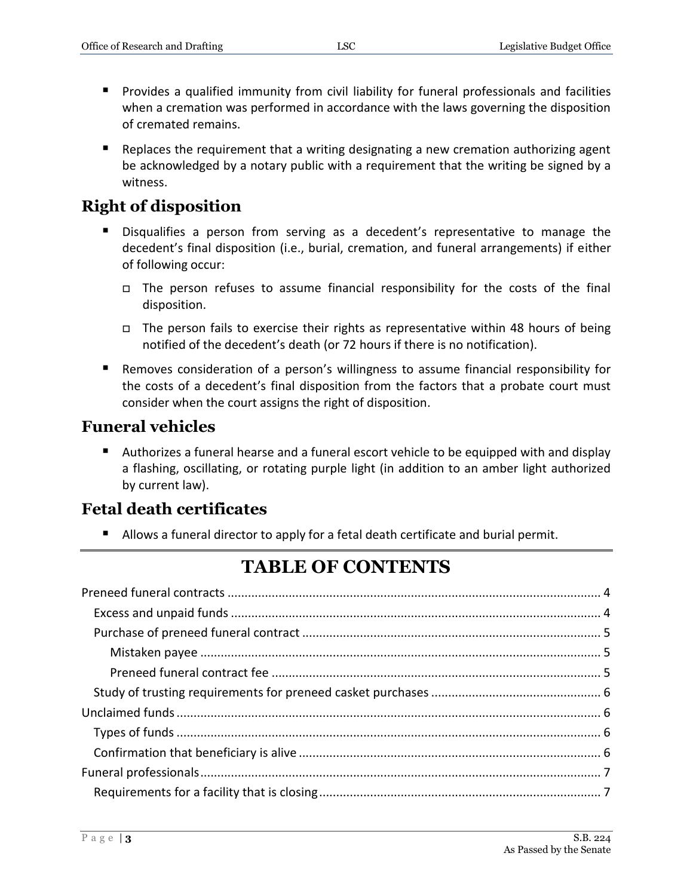- Provides a qualified immunity from civil liability for funeral professionals and facilities when a cremation was performed in accordance with the laws governing the disposition of cremated remains.
- **E** Replaces the requirement that a writing designating a new cremation authorizing agent be acknowledged by a notary public with a requirement that the writing be signed by a witness.

# **Right of disposition**

- Disqualifies a person from serving as a decedent's representative to manage the decedent's final disposition (i.e., burial, cremation, and funeral arrangements) if either of following occur:
	- $\Box$  The person refuses to assume financial responsibility for the costs of the final disposition.
	- $\Box$  The person fails to exercise their rights as representative within 48 hours of being notified of the decedent's death (or 72 hours if there is no notification).
- Removes consideration of a person's willingness to assume financial responsibility for the costs of a decedent's final disposition from the factors that a probate court must consider when the court assigns the right of disposition.

## **Funeral vehicles**

 Authorizes a funeral hearse and a funeral escort vehicle to be equipped with and display a flashing, oscillating, or rotating purple light (in addition to an amber light authorized by current law).

# **Fetal death certificates**

Allows a funeral director to apply for a fetal death certificate and burial permit.

# **TABLE OF CONTENTS**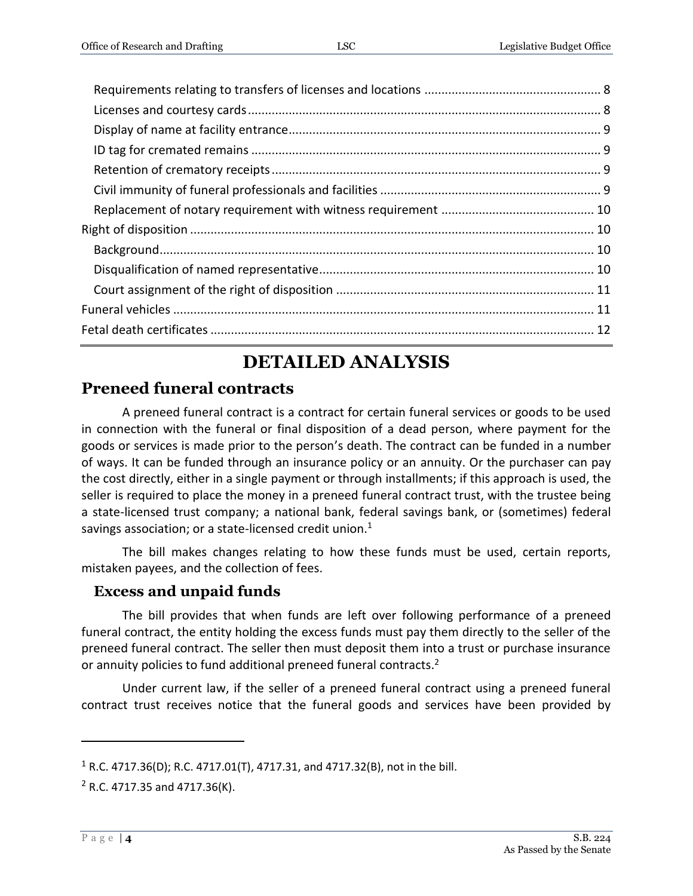# **DETAILED ANALYSIS**

# <span id="page-3-0"></span>**Preneed funeral contracts**

A preneed funeral contract is a contract for certain funeral services or goods to be used in connection with the funeral or final disposition of a dead person, where payment for the goods or services is made prior to the person's death. The contract can be funded in a number of ways. It can be funded through an insurance policy or an annuity. Or the purchaser can pay the cost directly, either in a single payment or through installments; if this approach is used, the seller is required to place the money in a preneed funeral contract trust, with the trustee being a state-licensed trust company; a national bank, federal savings bank, or (sometimes) federal savings association; or a state-licensed credit union.<sup>1</sup>

The bill makes changes relating to how these funds must be used, certain reports, mistaken payees, and the collection of fees.

# <span id="page-3-1"></span>**Excess and unpaid funds**

The bill provides that when funds are left over following performance of a preneed funeral contract, the entity holding the excess funds must pay them directly to the seller of the preneed funeral contract. The seller then must deposit them into a trust or purchase insurance or annuity policies to fund additional preneed funeral contracts.<sup>2</sup>

Under current law, if the seller of a preneed funeral contract using a preneed funeral contract trust receives notice that the funeral goods and services have been provided by

 $1 R.C. 4717.36(D)$ ; R.C. 4717.01(T), 4717.31, and 4717.32(B), not in the bill.

 $2$  R.C. 4717.35 and 4717.36(K).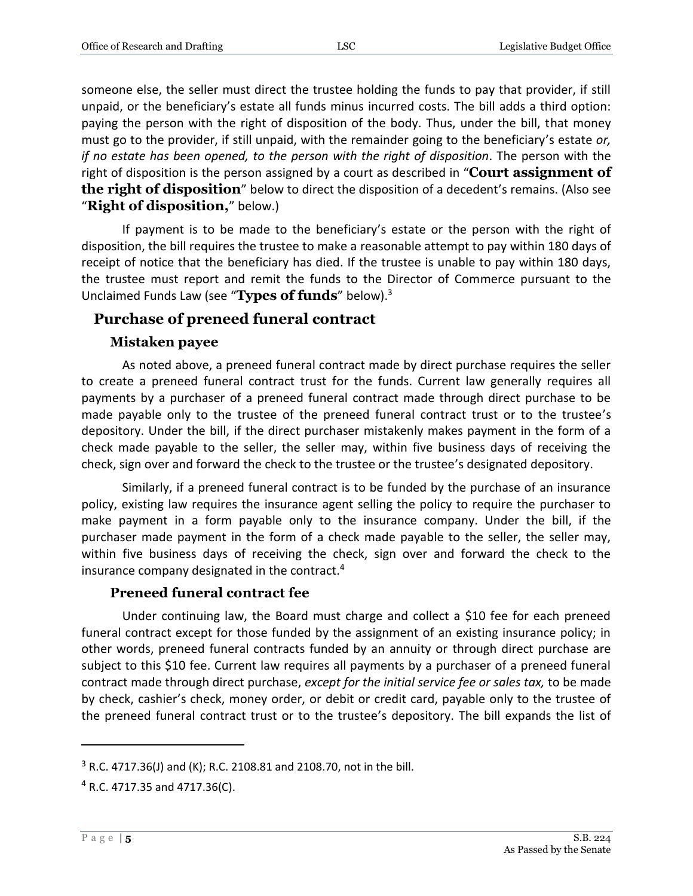someone else, the seller must direct the trustee holding the funds to pay that provider, if still unpaid, or the beneficiary's estate all funds minus incurred costs. The bill adds a third option: paying the person with the right of disposition of the body. Thus, under the bill, that money must go to the provider, if still unpaid, with the remainder going to the beneficiary's estate *or, if no estate has been opened, to the person with the right of disposition*. The person with the right of disposition is the person assigned by a court as described in "**Court assignment of the right of disposition**" below to direct the disposition of a decedent's remains. (Also see "**Right of disposition,**" below.)

If payment is to be made to the beneficiary's estate or the person with the right of disposition, the bill requires the trustee to make a reasonable attempt to pay within 180 days of receipt of notice that the beneficiary has died. If the trustee is unable to pay within 180 days, the trustee must report and remit the funds to the Director of Commerce pursuant to the Unclaimed Funds Law (see "**Types of funds**" below).<sup>3</sup>

#### <span id="page-4-0"></span>**Purchase of preneed funeral contract**

#### **Mistaken payee**

<span id="page-4-1"></span>As noted above, a preneed funeral contract made by direct purchase requires the seller to create a preneed funeral contract trust for the funds. Current law generally requires all payments by a purchaser of a preneed funeral contract made through direct purchase to be made payable only to the trustee of the preneed funeral contract trust or to the trustee's depository. Under the bill, if the direct purchaser mistakenly makes payment in the form of a check made payable to the seller, the seller may, within five business days of receiving the check, sign over and forward the check to the trustee or the trustee's designated depository.

Similarly, if a preneed funeral contract is to be funded by the purchase of an insurance policy, existing law requires the insurance agent selling the policy to require the purchaser to make payment in a form payable only to the insurance company. Under the bill, if the purchaser made payment in the form of a check made payable to the seller, the seller may, within five business days of receiving the check, sign over and forward the check to the insurance company designated in the contract.<sup>4</sup>

#### **Preneed funeral contract fee**

<span id="page-4-2"></span>Under continuing law, the Board must charge and collect a \$10 fee for each preneed funeral contract except for those funded by the assignment of an existing insurance policy; in other words, preneed funeral contracts funded by an annuity or through direct purchase are subject to this \$10 fee. Current law requires all payments by a purchaser of a preneed funeral contract made through direct purchase, *except for the initial service fee or sales tax,* to be made by check, cashier's check, money order, or debit or credit card, payable only to the trustee of the preneed funeral contract trust or to the trustee's depository. The bill expands the list of

 $3$  R.C. 4717.36(J) and (K); R.C. 2108.81 and 2108.70, not in the bill.

<sup>4</sup> R.C. 4717.35 and 4717.36(C).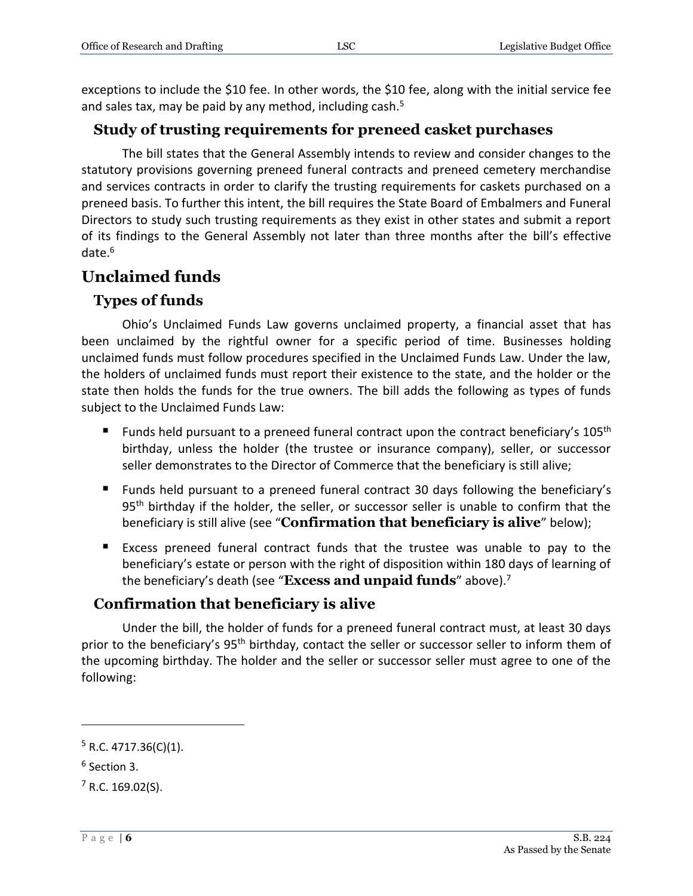exceptions to include the \$10 fee. In other words, the \$10 fee, along with the initial service fee and sales tax, may be paid by any method, including cash.<sup>5</sup>

#### <span id="page-5-0"></span>**Study of trusting requirements for preneed casket purchases**

The bill states that the General Assembly intends to review and consider changes to the statutory provisions governing preneed funeral contracts and preneed cemetery merchandise and services contracts in order to clarify the trusting requirements for caskets purchased on a preneed basis. To further this intent, the bill requires the State Board of Embalmers and Funeral Directors to study such trusting requirements as they exist in other states and submit a report of its findings to the General Assembly not later than three months after the bill's effective date.<sup>6</sup>

# <span id="page-5-1"></span>**Unclaimed funds**

# <span id="page-5-2"></span>**Types of funds**

Ohio's Unclaimed Funds Law governs unclaimed property, a financial asset that has been unclaimed by the rightful owner for a specific period of time. Businesses holding unclaimed funds must follow procedures specified in the Unclaimed Funds Law. Under the law, the holders of unclaimed funds must report their existence to the state, and the holder or the state then holds the funds for the true owners. The bill adds the following as types of funds subject to the Unclaimed Funds Law:

- Funds held pursuant to a preneed funeral contract upon the contract beneficiary's  $105<sup>th</sup>$ birthday, unless the holder (the trustee or insurance company), seller, or successor seller demonstrates to the Director of Commerce that the beneficiary is still alive;
- Funds held pursuant to a preneed funeral contract 30 days following the beneficiary's 95<sup>th</sup> birthday if the holder, the seller, or successor seller is unable to confirm that the beneficiary is still alive (see "**Confirmation that beneficiary is alive**" below);
- Excess preneed funeral contract funds that the trustee was unable to pay to the beneficiary's estate or person with the right of disposition within 180 days of learning of the beneficiary's death (see "**Excess and unpaid funds**" above).<sup>7</sup>

# <span id="page-5-3"></span>**Confirmation that beneficiary is alive**

Under the bill, the holder of funds for a preneed funeral contract must, at least 30 days prior to the beneficiary's 95<sup>th</sup> birthday, contact the seller or successor seller to inform them of the upcoming birthday. The holder and the seller or successor seller must agree to one of the following:

 $5$  R.C. 4717.36(C)(1).

<sup>6</sup> Section 3.

 $7$  R.C. 169.02(S).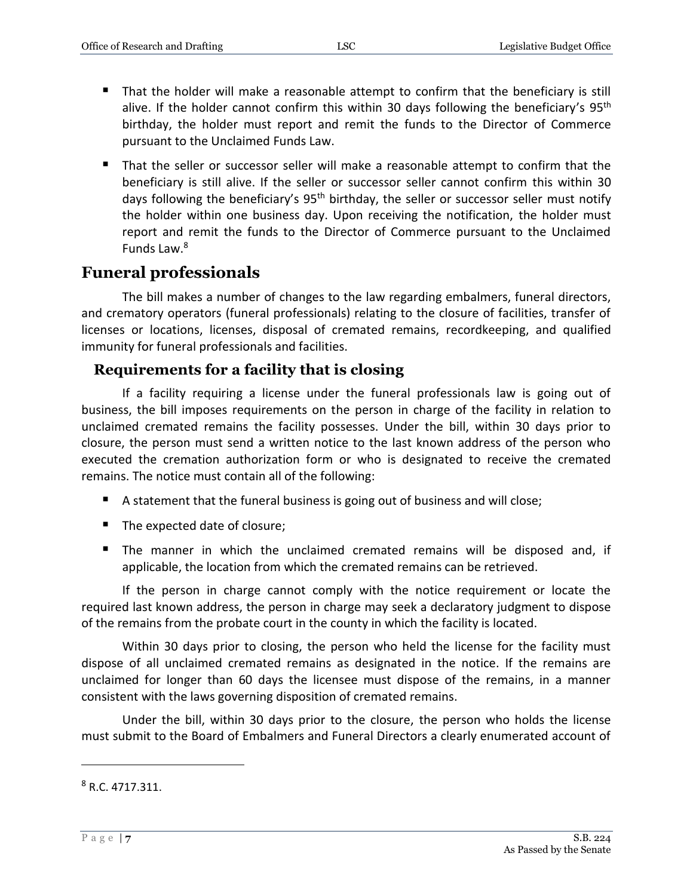- That the holder will make a reasonable attempt to confirm that the beneficiary is still alive. If the holder cannot confirm this within 30 days following the beneficiary's  $95<sup>th</sup>$ birthday, the holder must report and remit the funds to the Director of Commerce pursuant to the Unclaimed Funds Law.
- That the seller or successor seller will make a reasonable attempt to confirm that the beneficiary is still alive. If the seller or successor seller cannot confirm this within 30 days following the beneficiary's 95<sup>th</sup> birthday, the seller or successor seller must notify the holder within one business day. Upon receiving the notification, the holder must report and remit the funds to the Director of Commerce pursuant to the Unclaimed Funds Law. 8

# <span id="page-6-0"></span>**Funeral professionals**

The bill makes a number of changes to the law regarding embalmers, funeral directors, and crematory operators (funeral professionals) relating to the closure of facilities, transfer of licenses or locations, licenses, disposal of cremated remains, recordkeeping, and qualified immunity for funeral professionals and facilities.

#### <span id="page-6-1"></span>**Requirements for a facility that is closing**

If a facility requiring a license under the funeral professionals law is going out of business, the bill imposes requirements on the person in charge of the facility in relation to unclaimed cremated remains the facility possesses. Under the bill, within 30 days prior to closure, the person must send a written notice to the last known address of the person who executed the cremation authorization form or who is designated to receive the cremated remains. The notice must contain all of the following:

- A statement that the funeral business is going out of business and will close;
- The expected date of closure;
- The manner in which the unclaimed cremated remains will be disposed and, if applicable, the location from which the cremated remains can be retrieved.

If the person in charge cannot comply with the notice requirement or locate the required last known address, the person in charge may seek a declaratory judgment to dispose of the remains from the probate court in the county in which the facility is located.

Within 30 days prior to closing, the person who held the license for the facility must dispose of all unclaimed cremated remains as designated in the notice. If the remains are unclaimed for longer than 60 days the licensee must dispose of the remains, in a manner consistent with the laws governing disposition of cremated remains.

Under the bill, within 30 days prior to the closure, the person who holds the license must submit to the Board of Embalmers and Funeral Directors a clearly enumerated account of

 $8 R.C. 4717.311.$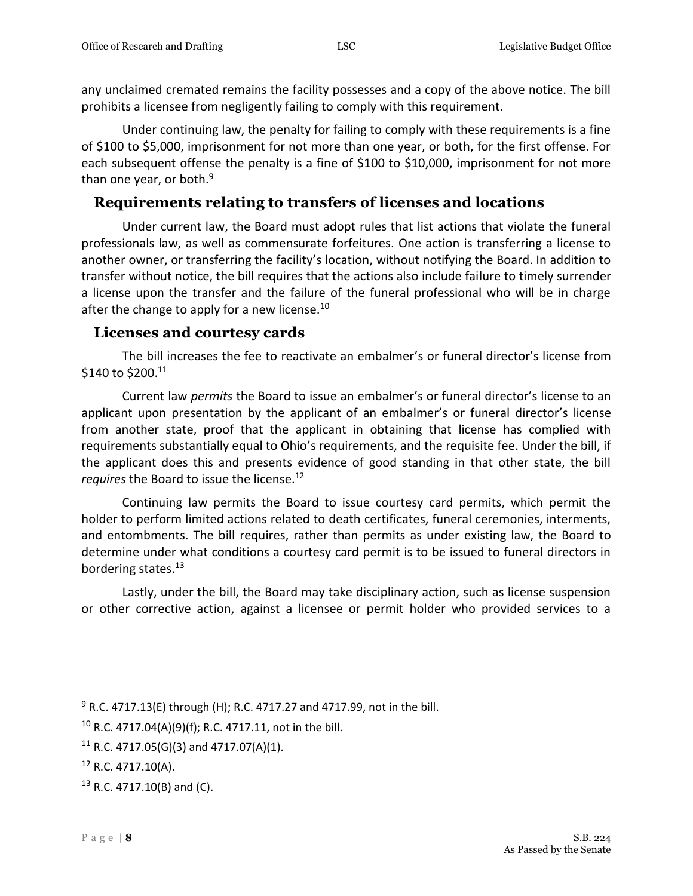any unclaimed cremated remains the facility possesses and a copy of the above notice. The bill prohibits a licensee from negligently failing to comply with this requirement.

Under continuing law, the penalty for failing to comply with these requirements is a fine of \$100 to \$5,000, imprisonment for not more than one year, or both, for the first offense. For each subsequent offense the penalty is a fine of \$100 to \$10,000, imprisonment for not more than one year, or both. $9$ 

#### <span id="page-7-0"></span>**Requirements relating to transfers of licenses and locations**

Under current law, the Board must adopt rules that list actions that violate the funeral professionals law, as well as commensurate forfeitures. One action is transferring a license to another owner, or transferring the facility's location, without notifying the Board. In addition to transfer without notice, the bill requires that the actions also include failure to timely surrender a license upon the transfer and the failure of the funeral professional who will be in charge after the change to apply for a new license.<sup>10</sup>

#### <span id="page-7-1"></span>**Licenses and courtesy cards**

The bill increases the fee to reactivate an embalmer's or funeral director's license from \$140 to \$200.11

Current law *permits* the Board to issue an embalmer's or funeral director's license to an applicant upon presentation by the applicant of an embalmer's or funeral director's license from another state, proof that the applicant in obtaining that license has complied with requirements substantially equal to Ohio's requirements, and the requisite fee. Under the bill, if the applicant does this and presents evidence of good standing in that other state, the bill *requires* the Board to issue the license.<sup>12</sup>

Continuing law permits the Board to issue courtesy card permits, which permit the holder to perform limited actions related to death certificates, funeral ceremonies, interments, and entombments. The bill requires, rather than permits as under existing law, the Board to determine under what conditions a courtesy card permit is to be issued to funeral directors in bordering states.<sup>13</sup>

Lastly, under the bill, the Board may take disciplinary action, such as license suspension or other corrective action, against a licensee or permit holder who provided services to a

 $9$  R.C. 4717.13(E) through (H); R.C. 4717.27 and 4717.99, not in the bill.

<sup>&</sup>lt;sup>10</sup> R.C. 4717.04(A)(9)(f); R.C. 4717.11, not in the bill.

<sup>&</sup>lt;sup>11</sup> R.C. 4717.05(G)(3) and 4717.07(A)(1).

 $12$  R.C. 4717.10(A).

<sup>13</sup> R.C. 4717.10(B) and (C).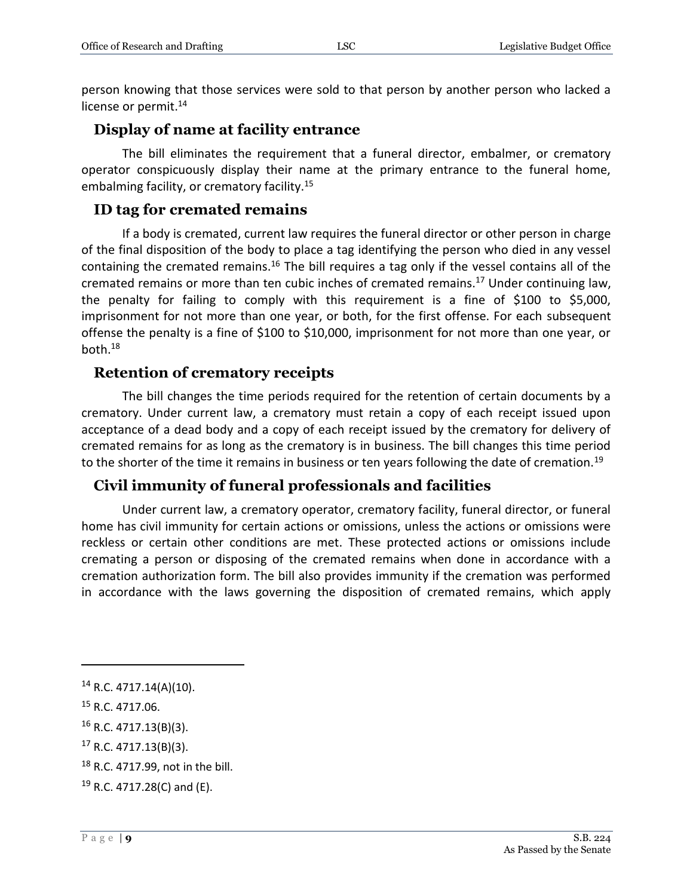person knowing that those services were sold to that person by another person who lacked a license or permit.<sup>14</sup>

#### <span id="page-8-0"></span>**Display of name at facility entrance**

The bill eliminates the requirement that a funeral director, embalmer, or crematory operator conspicuously display their name at the primary entrance to the funeral home, embalming facility, or crematory facility.<sup>15</sup>

#### <span id="page-8-1"></span>**ID tag for cremated remains**

If a body is cremated, current law requires the funeral director or other person in charge of the final disposition of the body to place a tag identifying the person who died in any vessel containing the cremated remains.<sup>16</sup> The bill requires a tag only if the vessel contains all of the cremated remains or more than ten cubic inches of cremated remains.<sup>17</sup> Under continuing law, the penalty for failing to comply with this requirement is a fine of \$100 to \$5,000, imprisonment for not more than one year, or both, for the first offense. For each subsequent offense the penalty is a fine of \$100 to \$10,000, imprisonment for not more than one year, or both.<sup>18</sup>

## <span id="page-8-2"></span>**Retention of crematory receipts**

The bill changes the time periods required for the retention of certain documents by a crematory. Under current law, a crematory must retain a copy of each receipt issued upon acceptance of a dead body and a copy of each receipt issued by the crematory for delivery of cremated remains for as long as the crematory is in business. The bill changes this time period to the shorter of the time it remains in business or ten years following the date of cremation.<sup>19</sup>

#### <span id="page-8-3"></span>**Civil immunity of funeral professionals and facilities**

Under current law, a crematory operator, crematory facility, funeral director, or funeral home has civil immunity for certain actions or omissions, unless the actions or omissions were reckless or certain other conditions are met. These protected actions or omissions include cremating a person or disposing of the cremated remains when done in accordance with a cremation authorization form. The bill also provides immunity if the cremation was performed in accordance with the laws governing the disposition of cremated remains, which apply

<sup>14</sup> R.C. 4717.14(A)(10).

<sup>15</sup> R.C. 4717.06.

<sup>16</sup> R.C. 4717.13(B)(3).

<sup>17</sup> R.C. 4717.13(B)(3).

<sup>18</sup> R.C. 4717.99, not in the bill.

<sup>19</sup> R.C. 4717.28(C) and (E).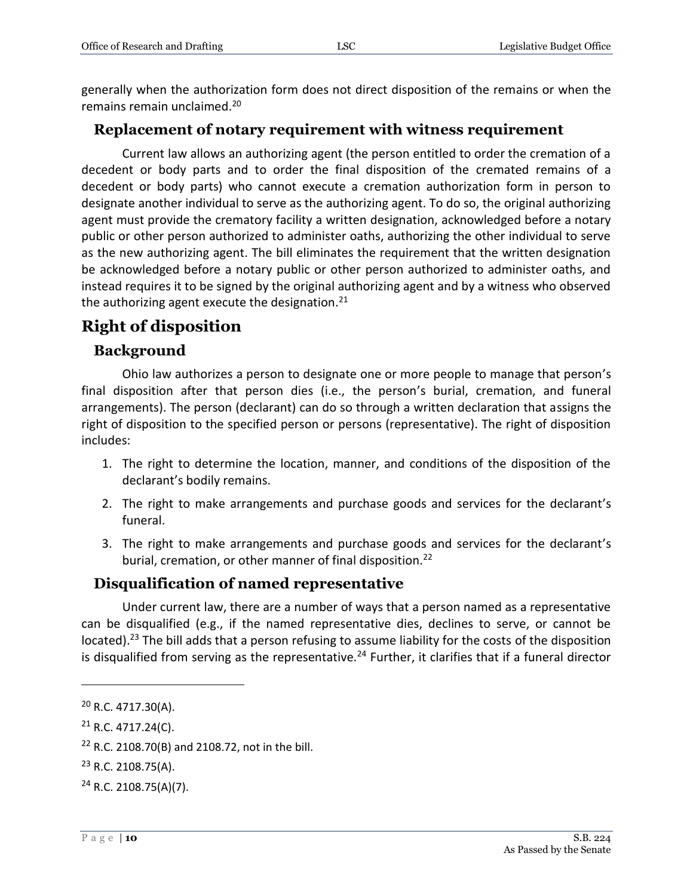generally when the authorization form does not direct disposition of the remains or when the remains remain unclaimed.<sup>20</sup>

#### <span id="page-9-0"></span>**Replacement of notary requirement with witness requirement**

Current law allows an authorizing agent (the person entitled to order the cremation of a decedent or body parts and to order the final disposition of the cremated remains of a decedent or body parts) who cannot execute a cremation authorization form in person to designate another individual to serve as the authorizing agent. To do so, the original authorizing agent must provide the crematory facility a written designation, acknowledged before a notary public or other person authorized to administer oaths, authorizing the other individual to serve as the new authorizing agent. The bill eliminates the requirement that the written designation be acknowledged before a notary public or other person authorized to administer oaths, and instead requires it to be signed by the original authorizing agent and by a witness who observed the authorizing agent execute the designation. $^{21}$ 

# <span id="page-9-1"></span>**Right of disposition**

## <span id="page-9-2"></span>**Background**

Ohio law authorizes a person to designate one or more people to manage that person's final disposition after that person dies (i.e., the person's burial, cremation, and funeral arrangements). The person (declarant) can do so through a written declaration that assigns the right of disposition to the specified person or persons (representative). The right of disposition includes:

- 1. The right to determine the location, manner, and conditions of the disposition of the declarant's bodily remains.
- 2. The right to make arrangements and purchase goods and services for the declarant's funeral.
- 3. The right to make arrangements and purchase goods and services for the declarant's burial, cremation, or other manner of final disposition.<sup>22</sup>

# <span id="page-9-3"></span>**Disqualification of named representative**

Under current law, there are a number of ways that a person named as a representative can be disqualified (e.g., if the named representative dies, declines to serve, or cannot be located).<sup>23</sup> The bill adds that a person refusing to assume liability for the costs of the disposition is disqualified from serving as the representative.<sup>24</sup> Further, it clarifies that if a funeral director

<sup>20</sup> R.C. 4717.30(A).

 $21$  R.C. 4717.24(C).

 $22$  R.C. 2108.70(B) and 2108.72, not in the bill.

 $23$  R.C. 2108.75(A).

 $24$  R.C. 2108.75(A)(7).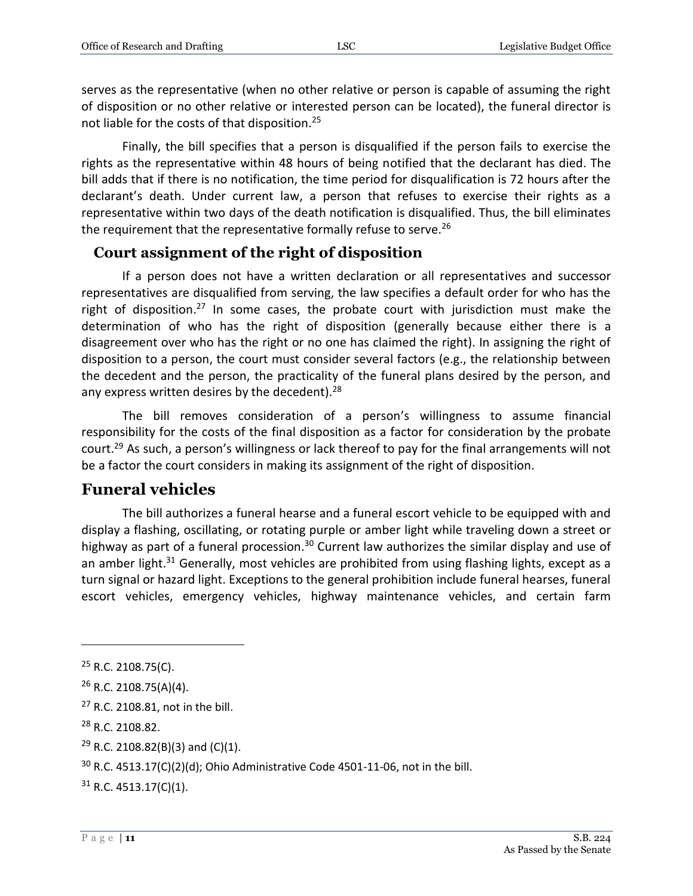serves as the representative (when no other relative or person is capable of assuming the right of disposition or no other relative or interested person can be located), the funeral director is not liable for the costs of that disposition.<sup>25</sup>

Finally, the bill specifies that a person is disqualified if the person fails to exercise the rights as the representative within 48 hours of being notified that the declarant has died. The bill adds that if there is no notification, the time period for disqualification is 72 hours after the declarant's death. Under current law, a person that refuses to exercise their rights as a representative within two days of the death notification is disqualified. Thus, the bill eliminates the requirement that the representative formally refuse to serve.<sup>26</sup>

#### <span id="page-10-0"></span>**Court assignment of the right of disposition**

If a person does not have a written declaration or all representatives and successor representatives are disqualified from serving, the law specifies a default order for who has the right of disposition.<sup>27</sup> In some cases, the probate court with jurisdiction must make the determination of who has the right of disposition (generally because either there is a disagreement over who has the right or no one has claimed the right). In assigning the right of disposition to a person, the court must consider several factors (e.g., the relationship between the decedent and the person, the practicality of the funeral plans desired by the person, and any express written desires by the decedent). $28$ 

The bill removes consideration of a person's willingness to assume financial responsibility for the costs of the final disposition as a factor for consideration by the probate court.<sup>29</sup> As such, a person's willingness or lack thereof to pay for the final arrangements will not be a factor the court considers in making its assignment of the right of disposition.

#### <span id="page-10-1"></span>**Funeral vehicles**

The bill authorizes a funeral hearse and a funeral escort vehicle to be equipped with and display a flashing, oscillating, or rotating purple or amber light while traveling down a street or highway as part of a funeral procession.<sup>30</sup> Current law authorizes the similar display and use of an amber light. $31$  Generally, most vehicles are prohibited from using flashing lights, except as a turn signal or hazard light. Exceptions to the general prohibition include funeral hearses, funeral escort vehicles, emergency vehicles, highway maintenance vehicles, and certain farm

 $25$  R.C. 2108.75(C).

 $26$  R.C. 2108.75(A)(4).

<sup>&</sup>lt;sup>27</sup> R.C. 2108.81, not in the bill.

<sup>28</sup> R.C. 2108.82.

 $29$  R.C. 2108.82(B)(3) and (C)(1).

 $30$  R.C. 4513.17(C)(2)(d); Ohio Administrative Code 4501-11-06, not in the bill.

 $31$  R.C. 4513.17(C)(1).